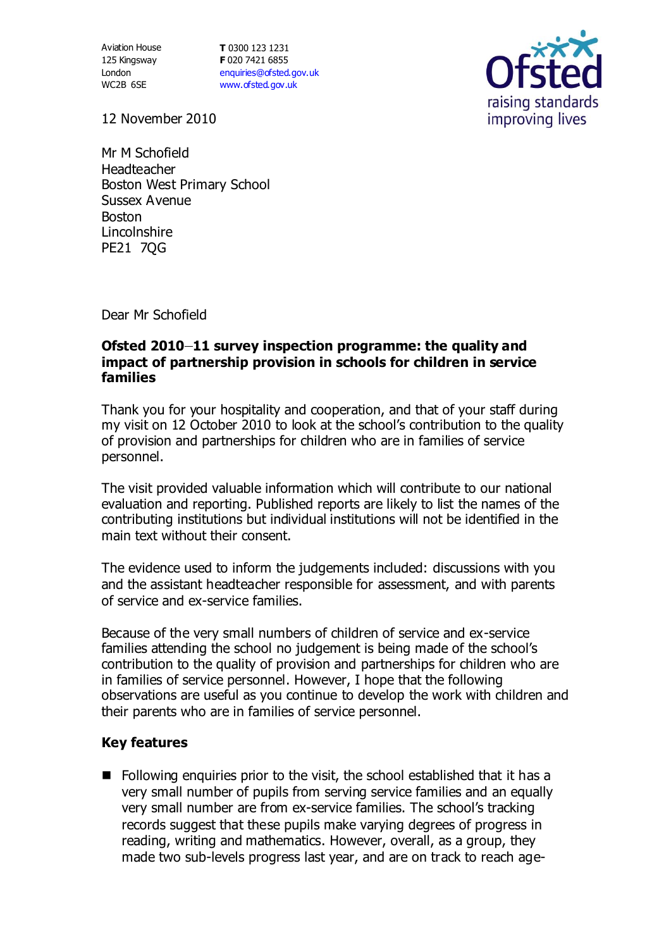Aviation House 125 Kingsway London WC2B 6SE

**T** 0300 123 1231 **F** 020 7421 6855 [enquiries@ofsted.gov.uk](mailto:enquiries@ofsted.gov.uk) [www.ofsted.gov.uk](http://www.ofsted.gov.uk/)



12 November 2010

Mr M Schofield Headteacher Boston West Primary School Sussex Avenue Boston Lincolnshire PE21 7QG

Dear Mr Schofield

## **Ofsted 2010–11 survey inspection programme: the quality and impact of partnership provision in schools for children in service families**

Thank you for your hospitality and cooperation, and that of your staff during my visit on 12 October 2010 to look at the school's contribution to the quality of provision and partnerships for children who are in families of service personnel.

The visit provided valuable information which will contribute to our national evaluation and reporting. Published reports are likely to list the names of the contributing institutions but individual institutions will not be identified in the main text without their consent.

The evidence used to inform the judgements included: discussions with you and the assistant headteacher responsible for assessment, and with parents of service and ex-service families.

Because of the very small numbers of children of service and ex-service families attending the school no judgement is being made of the school's contribution to the quality of provision and partnerships for children who are in families of service personnel. However, I hope that the following observations are useful as you continue to develop the work with children and their parents who are in families of service personnel.

## **Key features**

 $\blacksquare$  Following enquiries prior to the visit, the school established that it has a very small number of pupils from serving service families and an equally very small number are from ex-service families. The school's tracking records suggest that these pupils make varying degrees of progress in reading, writing and mathematics. However, overall, as a group, they made two sub-levels progress last year, and are on track to reach age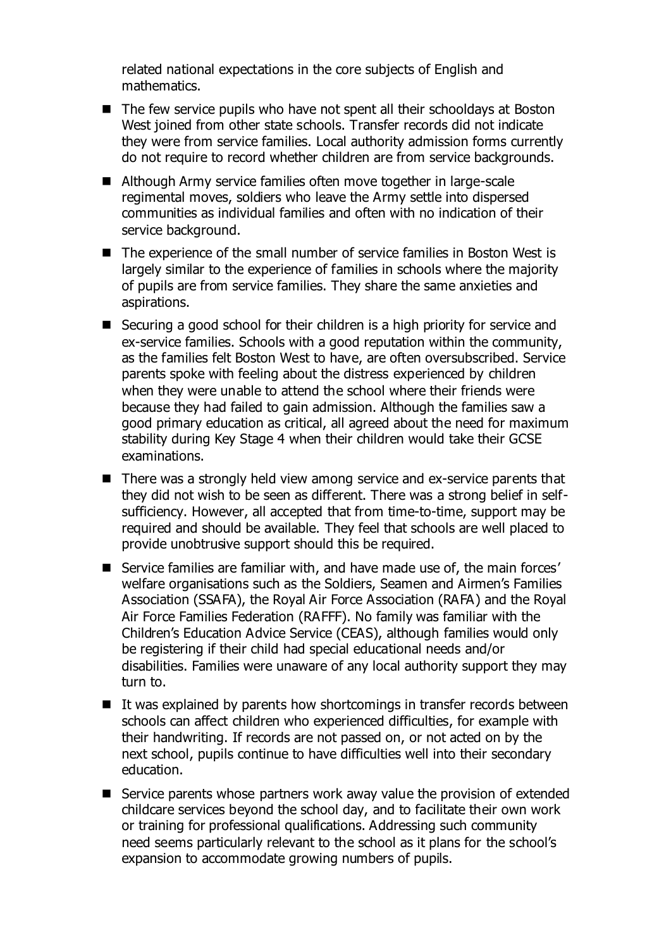related national expectations in the core subjects of English and mathematics.

- The few service pupils who have not spent all their schooldays at Boston West joined from other state schools. Transfer records did not indicate they were from service families. Local authority admission forms currently do not require to record whether children are from service backgrounds.
- Although Army service families often move together in large-scale regimental moves, soldiers who leave the Army settle into dispersed communities as individual families and often with no indication of their service background.
- The experience of the small number of service families in Boston West is largely similar to the experience of families in schools where the majority of pupils are from service families. They share the same anxieties and aspirations.
- Securing a good school for their children is a high priority for service and ex-service families. Schools with a good reputation within the community, as the families felt Boston West to have, are often oversubscribed. Service parents spoke with feeling about the distress experienced by children when they were unable to attend the school where their friends were because they had failed to gain admission. Although the families saw a good primary education as critical, all agreed about the need for maximum stability during Key Stage 4 when their children would take their GCSE examinations.
- There was a strongly held view among service and ex-service parents that they did not wish to be seen as different. There was a strong belief in selfsufficiency. However, all accepted that from time-to-time, support may be required and should be available. They feel that schools are well placed to provide unobtrusive support should this be required.
- Service families are familiar with, and have made use of, the main forces' welfare organisations such as the Soldiers, Seamen and Airmen's Families Association (SSAFA), the Royal Air Force Association (RAFA) and the Royal Air Force Families Federation (RAFFF). No family was familiar with the Children's Education Advice Service (CEAS), although families would only be registering if their child had special educational needs and/or disabilities. Families were unaware of any local authority support they may turn to.
- $\blacksquare$  It was explained by parents how shortcomings in transfer records between schools can affect children who experienced difficulties, for example with their handwriting. If records are not passed on, or not acted on by the next school, pupils continue to have difficulties well into their secondary education.
- Service parents whose partners work away value the provision of extended childcare services beyond the school day, and to facilitate their own work or training for professional qualifications. Addressing such community need seems particularly relevant to the school as it plans for the school's expansion to accommodate growing numbers of pupils.